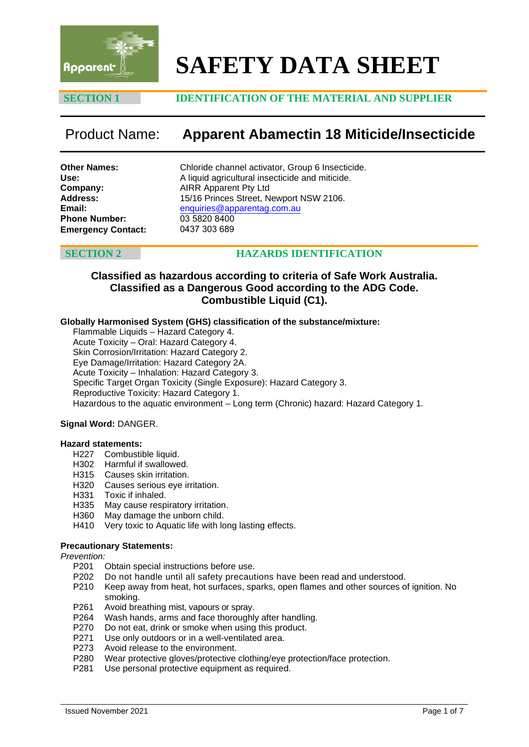

# **SAFETY DATA SHEET**

### **SECTION 1 IDENTIFICATION OF THE MATERIAL AND SUPPLIER**

## Product Name: **Apparent Abamectin 18 Miticide/Insecticide**

**Other Names: Use: Company: Address: Email: Phone Number: Emergency Contact:** Chloride channel activator, Group 6 Insecticide. A liquid agricultural insecticide and miticide. AIRR Apparent Pty Ltd 15/16 Princes Street, Newport NSW 2106. enquiries@apparentag.com.au [03 5820 8400](mailto:enquiries@apparentag.com.au) 0437 303 689

### **SECTION 2 HAZARDS IDENTIFICATION**

### **Classified as hazardous according to criteria of Safe Work Australia. Classified as a Dangerous Good according to the ADG Code. Combustible Liquid (C1).**

#### **Globally Harmonised System (GHS) classification of the substance/mixture:**

Flammable Liquids – Hazard Category 4. Acute Toxicity – Oral: Hazard Category 4. Skin Corrosion/Irritation: Hazard Category 2. Eye Damage/Irritation: Hazard Category 2A. Acute Toxicity – Inhalation: Hazard Category 3. Specific Target Organ Toxicity (Single Exposure): Hazard Category 3. Reproductive Toxicity: Hazard Category 1. Hazardous to the aquatic environment – Long term (Chronic) hazard: Hazard Category 1.

#### **Signal Word:** DANGER.

#### **Hazard statements:**

- H227 Combustible liquid.
- H302 Harmful if swallowed.
- H315 Causes skin irritation.
- H320 Causes serious eye irritation.
- H331 Toxic if inhaled.
- H335 May cause respiratory irritation.
- H360 May damage the unborn child.
- H410 Very toxic to Aquatic life with long lasting effects.

#### **Precautionary Statements:**

*Prevention:*

- P201 Obtain special instructions before use.<br>P202 Do not handle until all safety precaut
- P202 Do not handle until all safety precautions have been read and understood.<br>P210 Keep away from heat, hot surfaces, sparks, open flames and other sources o
- Keep away from heat, hot surfaces, sparks, open flames and other sources of ignition. No smoking.
- P261 Avoid breathing mist, vapours or spray.<br>P264 Wash hands, arms and face thoroughly
- Wash hands, arms and face thoroughly after handling.
- P270 Do not eat, drink or smoke when using this product.
- P271 Use only outdoors or in a well-ventilated area.
- P273 Avoid release to the environment.
- P280 Wear protective gloves/protective clothing/eye protection/face protection.<br>P281 Use personal protective equipment as required.
- Use personal protective equipment as required.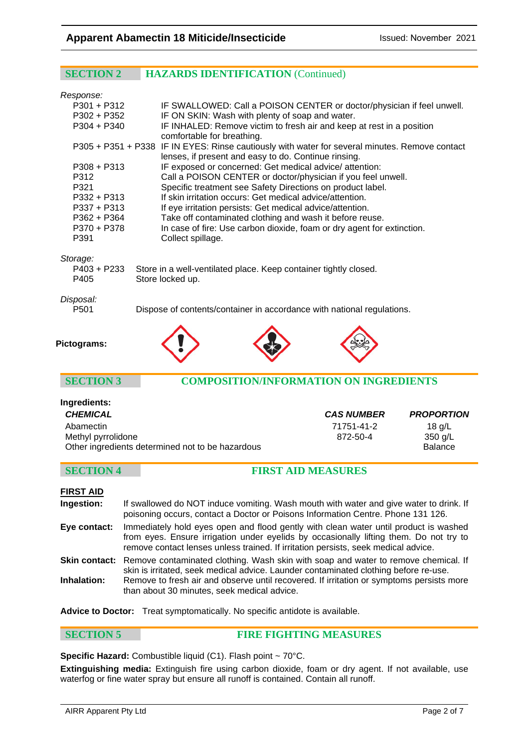### **SECTION 2 HAZARDS IDENTIFICATION** (Continued)

| Response:          |                                                  |                                                                                                                                                                                          |                   |
|--------------------|--------------------------------------------------|------------------------------------------------------------------------------------------------------------------------------------------------------------------------------------------|-------------------|
| $P301 + P312$      |                                                  | IF SWALLOWED: Call a POISON CENTER or doctor/physician if feel unwell.                                                                                                                   |                   |
| $P302 + P352$      |                                                  | IF ON SKIN: Wash with plenty of soap and water.                                                                                                                                          |                   |
| P304 + P340        |                                                  | IF INHALED: Remove victim to fresh air and keep at rest in a position                                                                                                                    |                   |
|                    | comfortable for breathing.                       |                                                                                                                                                                                          |                   |
|                    |                                                  | P305 + P351 + P338 IF IN EYES: Rinse cautiously with water for several minutes. Remove contact                                                                                           |                   |
|                    |                                                  | lenses, if present and easy to do. Continue rinsing.                                                                                                                                     |                   |
| $P308 + P313$      |                                                  | IF exposed or concerned: Get medical advice/attention:                                                                                                                                   |                   |
| P312               |                                                  | Call a POISON CENTER or doctor/physician if you feel unwell.                                                                                                                             |                   |
| P321               |                                                  | Specific treatment see Safety Directions on product label.                                                                                                                               |                   |
| P332 + P313        |                                                  | If skin irritation occurs: Get medical advice/attention.                                                                                                                                 |                   |
| $P337 + P313$      |                                                  | If eye irritation persists: Get medical advice/attention.                                                                                                                                |                   |
| $P362 + P364$      |                                                  | Take off contaminated clothing and wash it before reuse.                                                                                                                                 |                   |
| P370 + P378        |                                                  | In case of fire: Use carbon dioxide, foam or dry agent for extinction.                                                                                                                   |                   |
| P391               | Collect spillage.                                |                                                                                                                                                                                          |                   |
| Storage:           |                                                  |                                                                                                                                                                                          |                   |
| $P403 + P233$      |                                                  | Store in a well-ventilated place. Keep container tightly closed.                                                                                                                         |                   |
| P405               | Store locked up.                                 |                                                                                                                                                                                          |                   |
|                    |                                                  |                                                                                                                                                                                          |                   |
| Disposal:          |                                                  |                                                                                                                                                                                          |                   |
| P <sub>501</sub>   |                                                  | Dispose of contents/container in accordance with national regulations.                                                                                                                   |                   |
|                    |                                                  |                                                                                                                                                                                          |                   |
| Pictograms:        |                                                  |                                                                                                                                                                                          |                   |
| <b>SECTION 3</b>   |                                                  | <b>COMPOSITION/INFORMATION ON INGREDIENTS</b>                                                                                                                                            |                   |
| Ingredients:       |                                                  |                                                                                                                                                                                          |                   |
| <b>CHEMICAL</b>    |                                                  | <b>CAS NUMBER</b>                                                                                                                                                                        | <b>PROPORTION</b> |
| Abamectin          |                                                  | 71751-41-2                                                                                                                                                                               | $18$ g/L          |
| Methyl pyrrolidone |                                                  | 872-50-4                                                                                                                                                                                 | 350 g/L           |
|                    | Other ingredients determined not to be hazardous |                                                                                                                                                                                          | <b>Balance</b>    |
|                    |                                                  |                                                                                                                                                                                          |                   |
| <b>SECTION 4</b>   |                                                  | <b>FIRST AID MEASURES</b>                                                                                                                                                                |                   |
|                    |                                                  |                                                                                                                                                                                          |                   |
| <b>FIRST AID</b>   |                                                  |                                                                                                                                                                                          |                   |
| Ingestion:         |                                                  | If swallowed do NOT induce vomiting. Wash mouth with water and give water to drink. If                                                                                                   |                   |
|                    |                                                  | poisoning occurs, contact a Doctor or Poisons Information Centre. Phone 131 126.                                                                                                         |                   |
| Eye contact:       |                                                  | Immediately hold eyes open and flood gently with clean water until product is washed                                                                                                     |                   |
|                    |                                                  | from eyes. Ensure irrigation under eyelids by occasionally lifting them. Do not try to                                                                                                   |                   |
|                    |                                                  | remove contact lenses unless trained. If irritation persists, seek medical advice.                                                                                                       |                   |
|                    |                                                  |                                                                                                                                                                                          |                   |
|                    |                                                  | Skin contact: Remove contaminated clothing. Wash skin with soap and water to remove chemical. If<br>skin is irritated, seek medical advice. Launder contaminated clothing before re-use. |                   |

**Inhalation:** Remove to fresh air and observe until recovered. If irritation or symptoms persists more than about 30 minutes, seek medical advice.

**Advice to Doctor:** Treat symptomatically. No specific antidote is available.

#### **SECTION 5 FIRE FIGHTING MEASURES**

Specific Hazard: Combustible liquid (C1). Flash point ~ 70°C.

**Extinguishing media:** Extinguish fire using carbon dioxide, foam or dry agent. If not available, use waterfog or fine water spray but ensure all runoff is contained. Contain all runoff.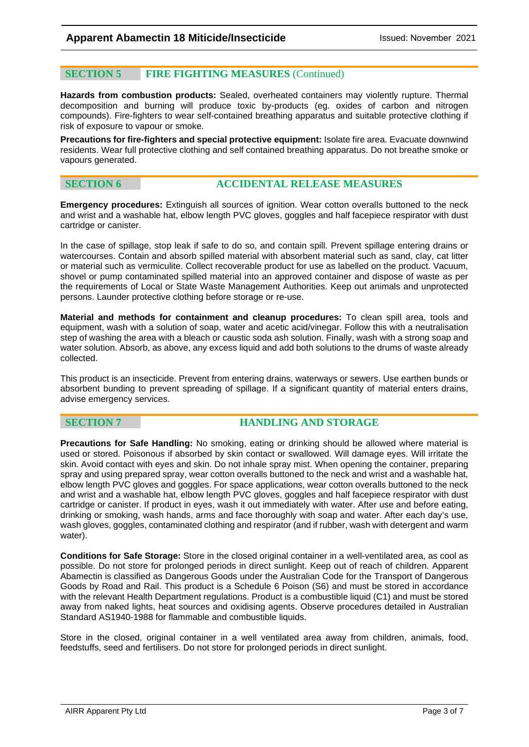### **SECTION 5 FIRE FIGHTING MEASURES** (Continued)

**Hazards from combustion products:** Sealed, overheated containers may violently rupture. Thermal decomposition and burning will produce toxic by-products (eg. oxides of carbon and nitrogen compounds). Fire-fighters to wear self-contained breathing apparatus and suitable protective clothing if risk of exposure to vapour or smoke.

**Precautions for fire-fighters and special protective equipment:** Isolate fire area. Evacuate downwind residents. Wear full protective clothing and self contained breathing apparatus. Do not breathe smoke or vapours generated.

#### **SECTION 6 ACCIDENTAL RELEASE MEASURES**

**Emergency procedures:** Extinguish all sources of ignition. Wear cotton overalls buttoned to the neck and wrist and a washable hat, elbow length PVC gloves, goggles and half facepiece respirator with dust cartridge or canister.

In the case of spillage, stop leak if safe to do so, and contain spill. Prevent spillage entering drains or watercourses. Contain and absorb spilled material with absorbent material such as sand, clay, cat litter or material such as vermiculite. Collect recoverable product for use as labelled on the product. Vacuum, shovel or pump contaminated spilled material into an approved container and dispose of waste as per the requirements of Local or State Waste Management Authorities. Keep out animals and unprotected persons. Launder protective clothing before storage or re-use.

**Material and methods for containment and cleanup procedures:** To clean spill area, tools and equipment, wash with a solution of soap, water and acetic acid/vinegar. Follow this with a neutralisation step of washing the area with a bleach or caustic soda ash solution. Finally, wash with a strong soap and water solution. Absorb, as above, any excess liquid and add both solutions to the drums of waste already collected.

This product is an insecticide. Prevent from entering drains, waterways or sewers. Use earthen bunds or absorbent bunding to prevent spreading of spillage. If a significant quantity of material enters drains, advise emergency services.

### **SECTION 7 HANDLING AND STORAGE**

**Precautions for Safe Handling:** No smoking, eating or drinking should be allowed where material is used or stored. Poisonous if absorbed by skin contact or swallowed. Will damage eyes. Will irritate the skin. Avoid contact with eyes and skin. Do not inhale spray mist. When opening the container, preparing spray and using prepared spray, wear cotton overalls buttoned to the neck and wrist and a washable hat, elbow length PVC gloves and goggles. For space applications, wear cotton overalls buttoned to the neck and wrist and a washable hat, elbow length PVC gloves, goggles and half facepiece respirator with dust cartridge or canister. If product in eyes, wash it out immediately with water. After use and before eating, drinking or smoking, wash hands, arms and face thoroughly with soap and water. After each day's use, wash gloves, goggles, contaminated clothing and respirator (and if rubber, wash with detergent and warm water).

**Conditions for Safe Storage:** Store in the closed original container in a well-ventilated area, as cool as possible. Do not store for prolonged periods in direct sunlight. Keep out of reach of children. Apparent Abamectin is classified as Dangerous Goods under the Australian Code for the Transport of Dangerous Goods by Road and Rail. This product is a Schedule 6 Poison (S6) and must be stored in accordance with the relevant Health Department regulations. Product is a combustible liquid (C1) and must be stored away from naked lights, heat sources and oxidising agents. Observe procedures detailed in Australian Standard AS1940-1988 for flammable and combustible liquids.

Store in the closed, original container in a well ventilated area away from children, animals, food, feedstuffs, seed and fertilisers. Do not store for prolonged periods in direct sunlight.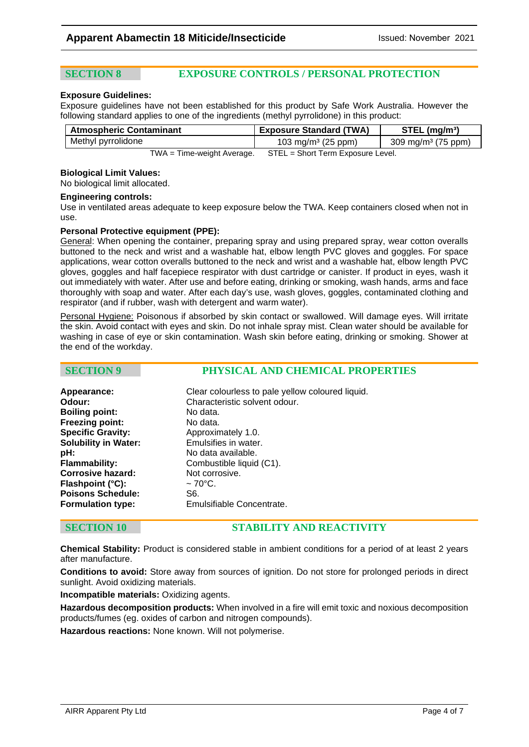### **SECTION 8 EXPOSURE CONTROLS / PERSONAL PROTECTION**

#### **Exposure Guidelines:**

Exposure guidelines have not been established for this product by Safe Work Australia. However the following standard applies to one of the ingredients (methyl pyrrolidone) in this product:

| <b>Atmospheric Contaminant</b> | <b>Exposure Standard (TWA)</b>    | $STEL$ (mg/m <sup>3</sup> )    |
|--------------------------------|-----------------------------------|--------------------------------|
| Methyl pyrrolidone             | 103 mg/m <sup>3</sup> (25 ppm)    | 309 mg/m <sup>3</sup> (75 ppm) |
| $TWA = Time-weight Average$ .  | STEL = Short Term Exposure Level. |                                |

#### **Biological Limit Values:**

No biological limit allocated.

#### **Engineering controls:**

Use in ventilated areas adequate to keep exposure below the TWA. Keep containers closed when not in use.

#### **Personal Protective equipment (PPE):**

General: When opening the container, preparing spray and using prepared spray, wear cotton overalls buttoned to the neck and wrist and a washable hat, elbow length PVC gloves and goggles. For space applications, wear cotton overalls buttoned to the neck and wrist and a washable hat, elbow length PVC gloves, goggles and half facepiece respirator with dust cartridge or canister. If product in eyes, wash it out immediately with water. After use and before eating, drinking or smoking, wash hands, arms and face thoroughly with soap and water. After each day's use, wash gloves, goggles, contaminated clothing and respirator (and if rubber, wash with detergent and warm water).

Personal Hygiene: Poisonous if absorbed by skin contact or swallowed. Will damage eyes. Will irritate the skin. Avoid contact with eyes and skin. Do not inhale spray mist. Clean water should be available for washing in case of eye or skin contamination. Wash skin before eating, drinking or smoking. Shower at the end of the workday.

| <b>SECTION 9</b> | PHYSICAL AND CHEMICAL PROPERTIES |
|------------------|----------------------------------|
|                  |                                  |

| Appearance:                 | Clear colourless to pale yellow coloured liquid. |
|-----------------------------|--------------------------------------------------|
| Odour:                      | Characteristic solvent odour.                    |
| <b>Boiling point:</b>       | No data.                                         |
| <b>Freezing point:</b>      | No data.                                         |
| <b>Specific Gravity:</b>    | Approximately 1.0.                               |
| <b>Solubility in Water:</b> | Emulsifies in water.                             |
| pH:                         | No data available.                               |
| <b>Flammability:</b>        | Combustible liquid (C1).                         |
| <b>Corrosive hazard:</b>    | Not corrosive.                                   |
| Flashpoint (°C):            | $\sim$ 70°C.                                     |
| <b>Poisons Schedule:</b>    | S6.                                              |
| <b>Formulation type:</b>    | Emulsifiable Concentrate.                        |

### **SECTION 10 STABILITY AND REACTIVITY**

**Chemical Stability:** Product is considered stable in ambient conditions for a period of at least 2 years after manufacture.

**Conditions to avoid:** Store away from sources of ignition. Do not store for prolonged periods in direct sunlight. Avoid oxidizing materials.

**Incompatible materials:** Oxidizing agents.

**Hazardous decomposition products:** When involved in a fire will emit toxic and noxious decomposition products/fumes (eg. oxides of carbon and nitrogen compounds).

**Hazardous reactions:** None known. Will not polymerise.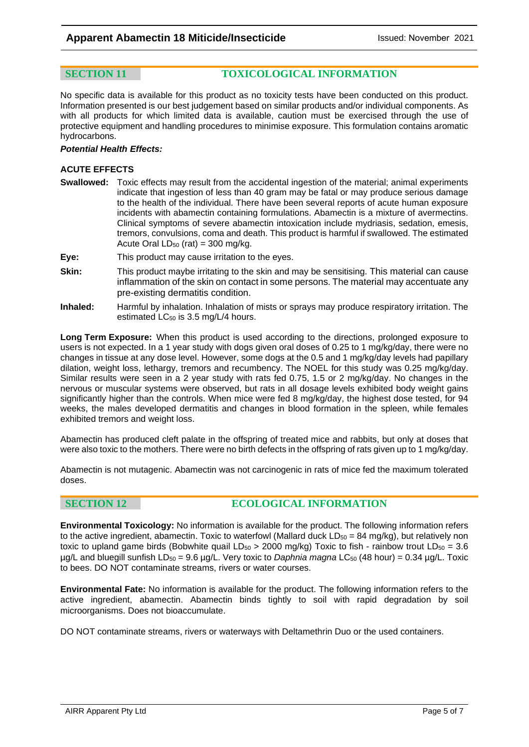**SECTION 11 TOXICOLOGICAL INFORMATION**

No specific data is available for this product as no toxicity tests have been conducted on this product. Information presented is our best judgement based on similar products and/or individual components. As with all products for which limited data is available, caution must be exercised through the use of protective equipment and handling procedures to minimise exposure. This formulation contains aromatic hydrocarbons.

#### *Potential Health Effects:*

#### **ACUTE EFFECTS**

- **Swallowed:** Toxic effects may result from the accidental ingestion of the material; animal experiments indicate that ingestion of less than 40 gram may be fatal or may produce serious damage to the health of the individual. There have been several reports of acute human exposure incidents with abamectin containing formulations. Abamectin is a mixture of avermectins. Clinical symptoms of severe abamectin intoxication include mydriasis, sedation, emesis, tremors, convulsions, coma and death. This product is harmful if swallowed. The estimated Acute Oral  $LD_{50}$  (rat) = 300 mg/kg.
- **Eye:** This product may cause irritation to the eyes.
- **Skin:** This product maybe irritating to the skin and may be sensitising. This material can cause inflammation of the skin on contact in some persons. The material may accentuate any pre-existing dermatitis condition.
- **Inhaled:** Harmful by inhalation. Inhalation of mists or sprays may produce respiratory irritation. The estimated LC<sub>50</sub> is 3.5 mg/L/4 hours.

**Long Term Exposure:** When this product is used according to the directions, prolonged exposure to users is not expected. In a 1 year study with dogs given oral doses of 0.25 to 1 mg/kg/day, there were no changes in tissue at any dose level. However, some dogs at the 0.5 and 1 mg/kg/day levels had papillary dilation, weight loss, lethargy, tremors and recumbency. The NOEL for this study was 0.25 mg/kg/day. Similar results were seen in a 2 year study with rats fed 0.75, 1.5 or 2 mg/kg/day. No changes in the nervous or muscular systems were observed, but rats in all dosage levels exhibited body weight gains significantly higher than the controls. When mice were fed 8 mg/kg/day, the highest dose tested, for 94 weeks, the males developed dermatitis and changes in blood formation in the spleen, while females exhibited tremors and weight loss.

Abamectin has produced cleft palate in the offspring of treated mice and rabbits, but only at doses that were also toxic to the mothers. There were no birth defects in the offspring of rats given up to 1 mg/kg/day.

Abamectin is not mutagenic. Abamectin was not carcinogenic in rats of mice fed the maximum tolerated doses.

### **SECTION 12 ECOLOGICAL INFORMATION**

**Environmental Toxicology:** No information is available for the product. The following information refers to the active ingredient, abamectin. Toxic to waterfowl (Mallard duck  $LD_{50} = 84$  mg/kg), but relatively non toxic to upland game birds (Bobwhite quail LD<sub>50</sub> > 2000 mg/kg) Toxic to fish - rainbow trout LD<sub>50</sub> = 3.6 µg/L and bluegill sunfish LD50 = 9.6 µg/L. Very toxic to *Daphnia magna* LC50 (48 hour) = 0.34 µg/L. Toxic to bees. DO NOT contaminate streams, rivers or water courses.

**Environmental Fate:** No information is available for the product. The following information refers to the active ingredient, abamectin. Abamectin binds tightly to soil with rapid degradation by soil microorganisms. Does not bioaccumulate.

DO NOT contaminate streams, rivers or waterways with Deltamethrin Duo or the used containers.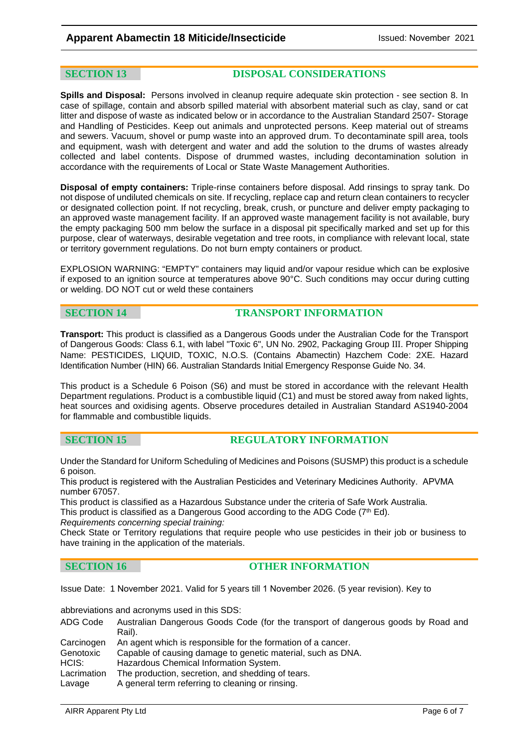**SECTION 13 DISPOSAL CONSIDERATIONS**

**Spills and Disposal:** Persons involved in cleanup require adequate skin protection - see section 8. In case of spillage, contain and absorb spilled material with absorbent material such as clay, sand or cat litter and dispose of waste as indicated below or in accordance to the Australian Standard 2507- Storage and Handling of Pesticides. Keep out animals and unprotected persons. Keep material out of streams and sewers. Vacuum, shovel or pump waste into an approved drum. To decontaminate spill area, tools and equipment, wash with detergent and water and add the solution to the drums of wastes already collected and label contents. Dispose of drummed wastes, including decontamination solution in accordance with the requirements of Local or State Waste Management Authorities.

**Disposal of empty containers:** Triple-rinse containers before disposal. Add rinsings to spray tank. Do not dispose of undiluted chemicals on site. If recycling, replace cap and return clean containers to recycler or designated collection point. If not recycling, break, crush, or puncture and deliver empty packaging to an approved waste management facility. If an approved waste management facility is not available, bury the empty packaging 500 mm below the surface in a disposal pit specifically marked and set up for this purpose, clear of waterways, desirable vegetation and tree roots, in compliance with relevant local, state or territory government regulations. Do not burn empty containers or product.

EXPLOSION WARNING: "EMPTY" containers may liquid and/or vapour residue which can be explosive if exposed to an ignition source at temperatures above 90°C. Such conditions may occur during cutting or welding. DO NOT cut or weld these containers

### **SECTION 14 TRANSPORT INFORMATION**

**Transport:** This product is classified as a Dangerous Goods under the Australian Code for the Transport of Dangerous Goods: Class 6.1, with label "Toxic 6", UN No. 2902, Packaging Group III. Proper Shipping Name: PESTICIDES, LIQUID, TOXIC, N.O.S. (Contains Abamectin) Hazchem Code: 2XE. Hazard Identification Number (HIN) 66. Australian Standards Initial Emergency Response Guide No. 34.

This product is a Schedule 6 Poison (S6) and must be stored in accordance with the relevant Health Department regulations. Product is a combustible liquid (C1) and must be stored away from naked lights, heat sources and oxidising agents. Observe procedures detailed in Australian Standard AS1940-2004 for flammable and combustible liquids.

#### **SECTION 15 REGULATORY INFORMATION**

Under the Standard for Uniform Scheduling of Medicines and Poisons (SUSMP) this product is a schedule 6 poison.

This product is registered with the Australian Pesticides and Veterinary Medicines Authority. APVMA number 67057.

This product is classified as a Hazardous Substance under the criteria of Safe Work Australia.

This product is classified as a Dangerous Good according to the ADG Code ( $7^{\text{th}}$  Ed). *Requirements concerning special training:* 

Check State or Territory regulations that require people who use pesticides in their job or business to have training in the application of the materials.

#### **SECTION 16 OTHER INFORMATION**

Issue Date: 1 November 2021. Valid for 5 years till 1 November 2026. (5 year revision). Key to

abbreviations and acronyms used in this SDS:

| ADG Code | Australian Dangerous Goods Code (for the transport of dangerous goods by Road and                                                                           |
|----------|-------------------------------------------------------------------------------------------------------------------------------------------------------------|
|          | Rail).                                                                                                                                                      |
|          | $\bigcap$ . The second contract of the second state of the second state of the second second state of the second state of the second second state $\bigcap$ |

|             | Carcinogen An agent which is responsible for the formation of a cancer. |
|-------------|-------------------------------------------------------------------------|
| Genotoxic   | Capable of causing damage to genetic material, such as DNA.             |
| HCIS:       | Hazardous Chemical Information System.                                  |
| Lacrimation | The production, secretion, and shedding of tears.                       |
| Lavage      | A general term referring to cleaning or rinsing                         |